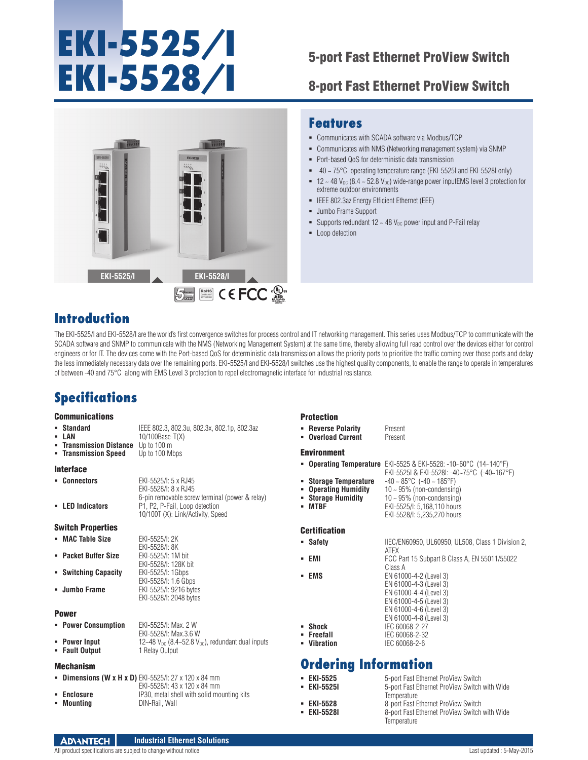# **EKI-5525/I**  EKI-5528/I<br>8-port Fast Ethernet ProView Switch

8-port Fast Ethernet ProView Switch



## **Features**

- Communicates with SCADA software via Modbus/TCP
- Communicates with NMS (Networking management system) via SNMP
- Port-based QoS for deterministic data transmission
- $-40 \sim 75^{\circ}$ C operating temperature range (EKI-5525I and EKI-5528I only)
- $12 \sim 48$  V<sub>DC</sub> (8.4  $\sim$  52.8 V<sub>DC</sub>) wide-range power inputEMS level 3 protection for extreme outdoor environments
- IEEE 802.3az Energy Efficient Ethernet (EEE)
- Jumbo Frame Support
- Supports redundant  $12 \sim 48$  V<sub>DC</sub> power input and P-Fail relay
- **Loop detection**

## **Introduction**

The EKI-5525/I and EKI-5528/I are the world's first convergence switches for process control and IT networking management. This series uses Modbus/TCP to communicate with the SCADA software and SNMP to communicate with the NMS (Networking Management System) at the same time, thereby allowing full read control over the devices either for control engineers or for IT. The devices come with the Port-based QoS for deterministic data transmission allows the priority ports to prioritize the traffic coming over those ports and delay the less immediately necessary data over the remaining ports. EKI-5525/I and EKI-5528/I switches use the highest quality components, to enable the range to operate in temperatures of between -40 and 75°C along with EMS Level 3 protection to repel electromagnetic interface for industrial resistance.

## **Specifications**

#### **Communications**

| • Standard | IEEE 802.3, 802.3u, 802.3x, 802.1p, 802.3az |
|------------|---------------------------------------------|
| - LAN      | $10/100$ Base-T(X)                          |

- **Transmission Distance** Up to 100 m<br>**Transmission Speed** Up to 100 Mbps
- **Transmission Speed**

#### **Interface**

| • Connectors     | EKI-5525/I: 5 x RJ45                           |
|------------------|------------------------------------------------|
|                  | EKI-5528/I: 8 x RJ45                           |
|                  | 6-pin removable screw terminal (power & relay) |
| - LED Indicators | P1. P2. P-Fail. Loop detection                 |
|                  | 10/100T (X): Link/Activity, Speed              |

EKI-5528/I: 8K<br>EKI-5525/I: 1M bit

EKI-5528/I: 128K bit

EKI-5528/I: 1.6 Gbps

EKI-5528/I: 2048 bytes

#### Switch Properties

**MAC Table Size** EKI-5525/I: 2K

- **Packet Buffer Size**
- **Switching Capacity**
- **Jumbo Frame** EKI-5525/I: 9216 bytes

#### Power

| • Power Consumption | EKI-5525/I: Max. 2 W      |
|---------------------|---------------------------|
|                     | $EVI$ $EFOO/I$ May $2EVI$ |

|                | ________________________________                           |
|----------------|------------------------------------------------------------|
|                | EKI-5528/I: Max.3.6 W                                      |
| • Power Input  | 12~48 $V_{DC}$ (8.4~52.8 $V_{DC}$ ), redundant dual inputs |
| • Fault Output | 1 Relay Output                                             |

#### Mechanism

|  | <b>- Dimensions (W x H x D)</b> EKI-5525/I: 27 x 120 x 84 mm |
|--|--------------------------------------------------------------|
|  |                                                              |

|             | EKI-5528/I: 43 x 120 x 84 mm               |
|-------------|--------------------------------------------|
| • Enclosure | IP30, metal shell with solid mounting kits |
| • Mountina  | DIN-Rail, Wall                             |

#### Protection

| × | <b>Reverse Polarity</b> | Present |
|---|-------------------------|---------|
| ٠ | <b>Overload Current</b> | Present |

#### Environment

**Operating Temperature** EKI-5525 & EKI-5528: -10~60°C (14~140°F)

- 
- **Storage Temperature**<br>**-** Operating Humidity
- 
- **Storage Humidity** 10 ~ 95% (non-condensing) EKI-5525/I: 5,168,110 hours EKI-5528/I: 5,235,270 hours

### **Certification**

- **Safety IIEC/EN60950, UL60950, UL508, Class 1 Division 2,**
- 
- 

#### ATEX **EMI EMI FCC Part 15 Subpart B Class A, EN 55011/55022** Class A **EMS** EN 61000-4-2 (Level 3) EN 61000-4-3 (Level 3) EN 61000-4-4 (Level 3) EN 61000-4-5 (Level 3) EN 61000-4-6 (Level 3) EN 61000-4-8 (Level 3) **Shock** IEC 60068-2-27 **Freefall** IEC 60068-2-32<br> **Vibration** IEC 60068-2-6

EKI-5525I & EKI-5528I: -40~75°C (-40~167°F)

10 ~ 95% (non-condensing)

## **Ordering Information**

| • EKI-5525       | 5-port Fast Ethernet ProView Switch           |
|------------------|-----------------------------------------------|
| • EKI-5525I      | 5-port Fast Ethernet ProView Switch with Wide |
|                  | Temperature                                   |
| <b>EKI-5528</b>  | 8-port Fast Ethernet ProView Switch           |
| <b>EKI-5528I</b> | 8-port Fast Ethernet ProView Switch with Wide |
|                  | Temperature                                   |

**Vibration** IEC 60068-2-6